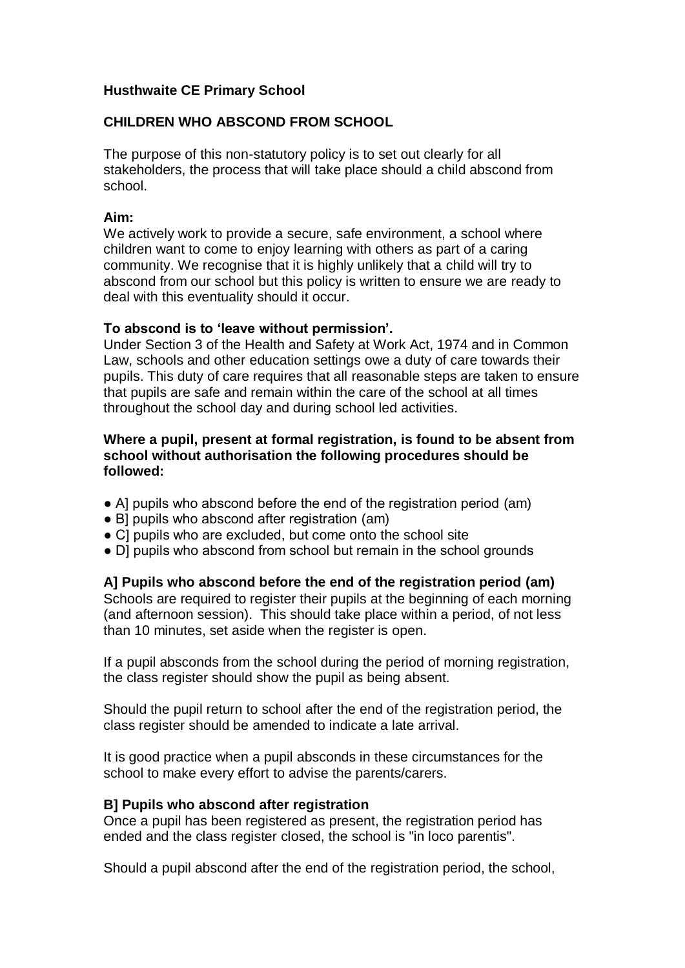## **Husthwaite CE Primary School**

# **CHILDREN WHO ABSCOND FROM SCHOOL**

The purpose of this non-statutory policy is to set out clearly for all stakeholders, the process that will take place should a child abscond from school.

### **Aim:**

We actively work to provide a secure, safe environment, a school where children want to come to enjoy learning with others as part of a caring community. We recognise that it is highly unlikely that a child will try to abscond from our school but this policy is written to ensure we are ready to deal with this eventuality should it occur.

## **To abscond is to 'leave without permission'.**

Under Section 3 of the Health and Safety at Work Act, 1974 and in Common Law, schools and other education settings owe a duty of care towards their pupils. This duty of care requires that all reasonable steps are taken to ensure that pupils are safe and remain within the care of the school at all times throughout the school day and during school led activities.

### **Where a pupil, present at formal registration, is found to be absent from school without authorisation the following procedures should be followed:**

- A] pupils who abscond before the end of the registration period (am)
- B] pupils who abscond after registration (am)
- CI pupils who are excluded, but come onto the school site
- D] pupils who abscond from school but remain in the school grounds

## **A] Pupils who abscond before the end of the registration period (am)**

Schools are required to register their pupils at the beginning of each morning (and afternoon session). This should take place within a period, of not less than 10 minutes, set aside when the register is open.

If a pupil absconds from the school during the period of morning registration, the class register should show the pupil as being absent.

Should the pupil return to school after the end of the registration period, the class register should be amended to indicate a late arrival.

It is good practice when a pupil absconds in these circumstances for the school to make every effort to advise the parents/carers.

## **B] Pupils who abscond after registration**

Once a pupil has been registered as present, the registration period has ended and the class register closed, the school is "in loco parentis".

Should a pupil abscond after the end of the registration period, the school,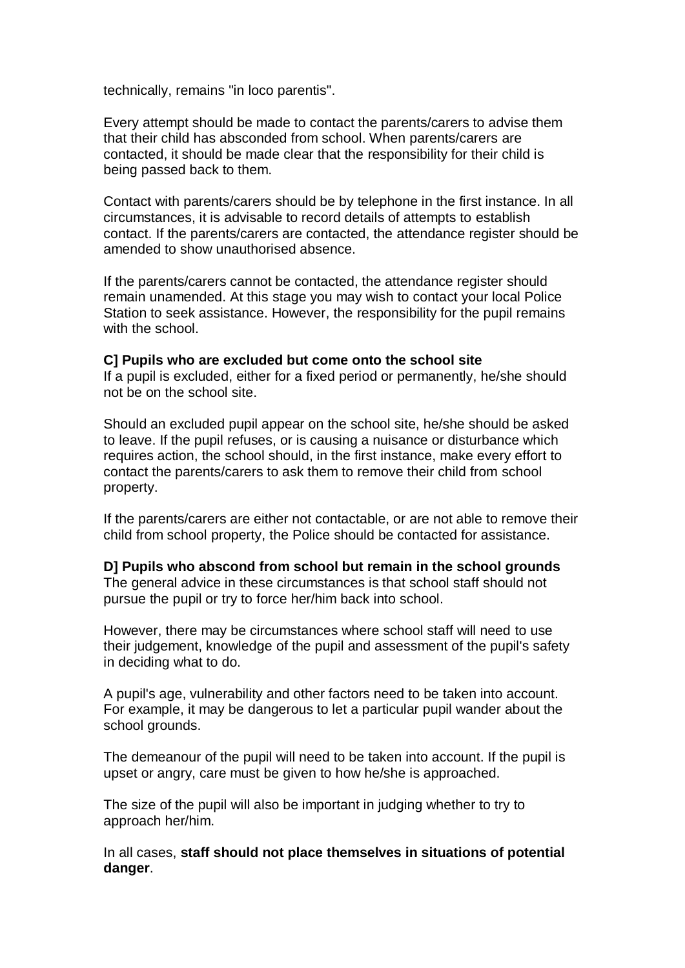technically, remains "in loco parentis".

Every attempt should be made to contact the parents/carers to advise them that their child has absconded from school. When parents/carers are contacted, it should be made clear that the responsibility for their child is being passed back to them.

Contact with parents/carers should be by telephone in the first instance. In all circumstances, it is advisable to record details of attempts to establish contact. If the parents/carers are contacted, the attendance register should be amended to show unauthorised absence.

If the parents/carers cannot be contacted, the attendance register should remain unamended. At this stage you may wish to contact your local Police Station to seek assistance. However, the responsibility for the pupil remains with the school.

#### **C] Pupils who are excluded but come onto the school site**

If a pupil is excluded, either for a fixed period or permanently, he/she should not be on the school site.

Should an excluded pupil appear on the school site, he/she should be asked to leave. If the pupil refuses, or is causing a nuisance or disturbance which requires action, the school should, in the first instance, make every effort to contact the parents/carers to ask them to remove their child from school property.

If the parents/carers are either not contactable, or are not able to remove their child from school property, the Police should be contacted for assistance.

#### **D] Pupils who abscond from school but remain in the school grounds** The general advice in these circumstances is that school staff should not pursue the pupil or try to force her/him back into school.

However, there may be circumstances where school staff will need to use their judgement, knowledge of the pupil and assessment of the pupil's safety in deciding what to do.

A pupil's age, vulnerability and other factors need to be taken into account. For example, it may be dangerous to let a particular pupil wander about the school grounds.

The demeanour of the pupil will need to be taken into account. If the pupil is upset or angry, care must be given to how he/she is approached.

The size of the pupil will also be important in judging whether to try to approach her/him.

In all cases, **staff should not place themselves in situations of potential danger**.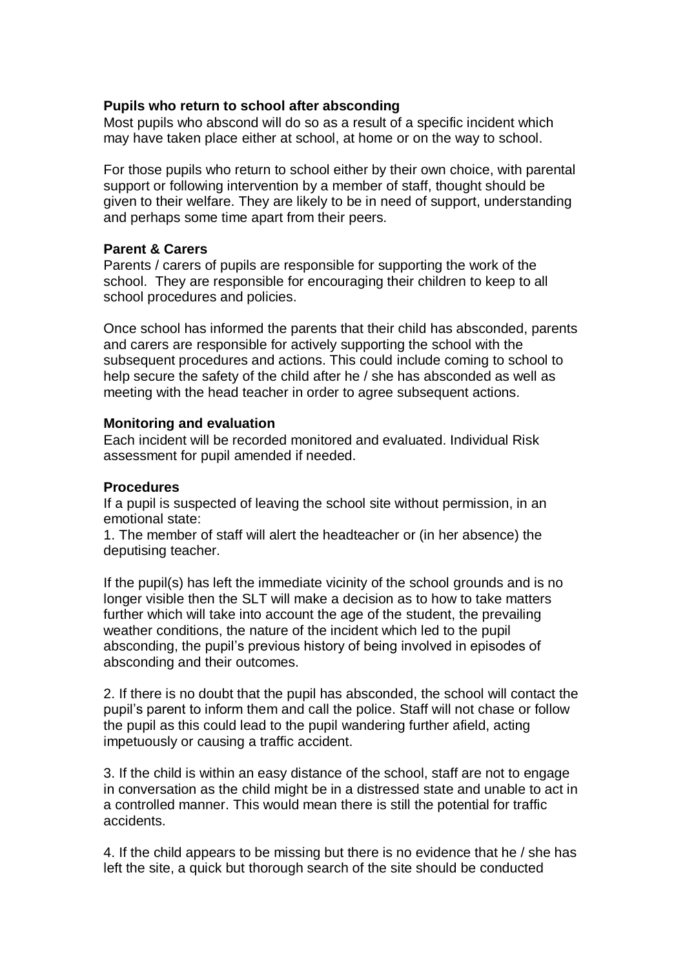### **Pupils who return to school after absconding**

Most pupils who abscond will do so as a result of a specific incident which may have taken place either at school, at home or on the way to school.

For those pupils who return to school either by their own choice, with parental support or following intervention by a member of staff, thought should be given to their welfare. They are likely to be in need of support, understanding and perhaps some time apart from their peers.

### **Parent & Carers**

Parents / carers of pupils are responsible for supporting the work of the school. They are responsible for encouraging their children to keep to all school procedures and policies.

Once school has informed the parents that their child has absconded, parents and carers are responsible for actively supporting the school with the subsequent procedures and actions. This could include coming to school to help secure the safety of the child after he / she has absconded as well as meeting with the head teacher in order to agree subsequent actions.

#### **Monitoring and evaluation**

Each incident will be recorded monitored and evaluated. Individual Risk assessment for pupil amended if needed.

#### **Procedures**

If a pupil is suspected of leaving the school site without permission, in an emotional state:

1. The member of staff will alert the headteacher or (in her absence) the deputising teacher.

If the pupil(s) has left the immediate vicinity of the school grounds and is no longer visible then the SLT will make a decision as to how to take matters further which will take into account the age of the student, the prevailing weather conditions, the nature of the incident which led to the pupil absconding, the pupil's previous history of being involved in episodes of absconding and their outcomes.

2. If there is no doubt that the pupil has absconded, the school will contact the pupil's parent to inform them and call the police. Staff will not chase or follow the pupil as this could lead to the pupil wandering further afield, acting impetuously or causing a traffic accident.

3. If the child is within an easy distance of the school, staff are not to engage in conversation as the child might be in a distressed state and unable to act in a controlled manner. This would mean there is still the potential for traffic accidents.

4. If the child appears to be missing but there is no evidence that he / she has left the site, a quick but thorough search of the site should be conducted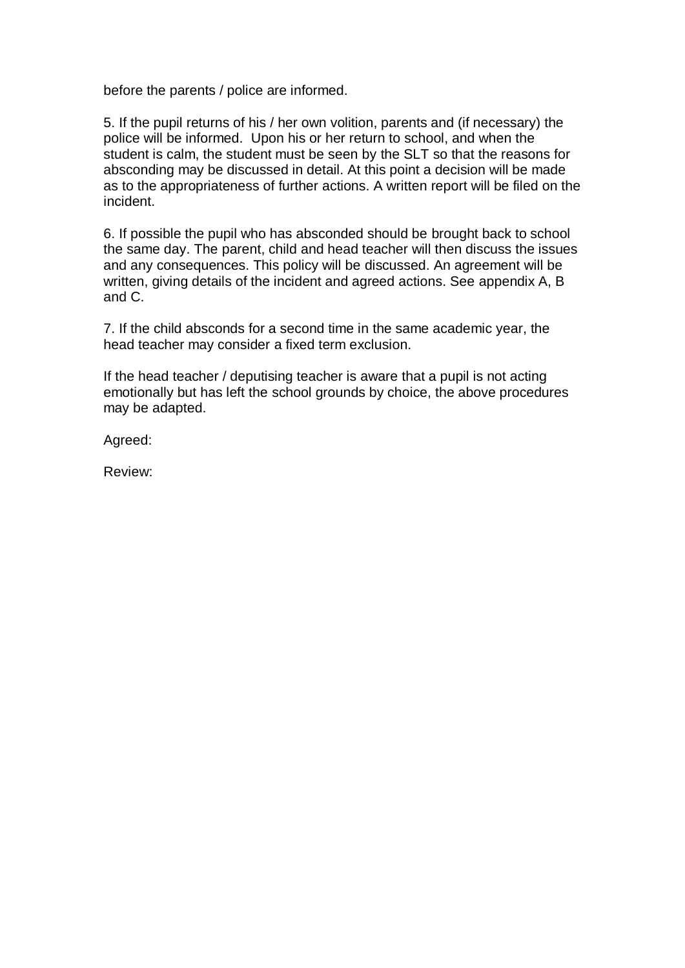before the parents / police are informed.

5. If the pupil returns of his / her own volition, parents and (if necessary) the police will be informed. Upon his or her return to school, and when the student is calm, the student must be seen by the SLT so that the reasons for absconding may be discussed in detail. At this point a decision will be made as to the appropriateness of further actions. A written report will be filed on the incident.

6. If possible the pupil who has absconded should be brought back to school the same day. The parent, child and head teacher will then discuss the issues and any consequences. This policy will be discussed. An agreement will be written, giving details of the incident and agreed actions. See appendix A, B and C.

7. If the child absconds for a second time in the same academic year, the head teacher may consider a fixed term exclusion.

If the head teacher / deputising teacher is aware that a pupil is not acting emotionally but has left the school grounds by choice, the above procedures may be adapted.

Agreed:

Review: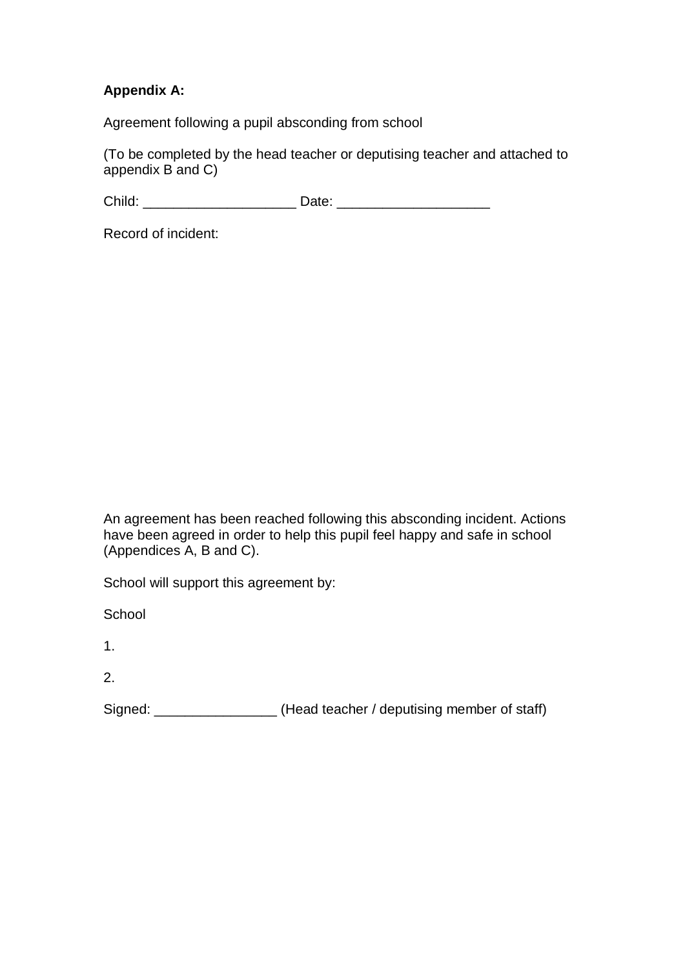# **Appendix A:**

Agreement following a pupil absconding from school

(To be completed by the head teacher or deputising teacher and attached to appendix B and C)

Child: \_\_\_\_\_\_\_\_\_\_\_\_\_\_\_\_\_\_\_\_ Date: \_\_\_\_\_\_\_\_\_\_\_\_\_\_\_\_\_\_\_\_

Record of incident:

An agreement has been reached following this absconding incident. Actions have been agreed in order to help this pupil feel happy and safe in school (Appendices A, B and C).

School will support this agreement by:

**School** 

1.

2.

Signed: \_\_\_\_\_\_\_\_\_\_\_\_\_\_\_\_\_\_\_(Head teacher / deputising member of staff)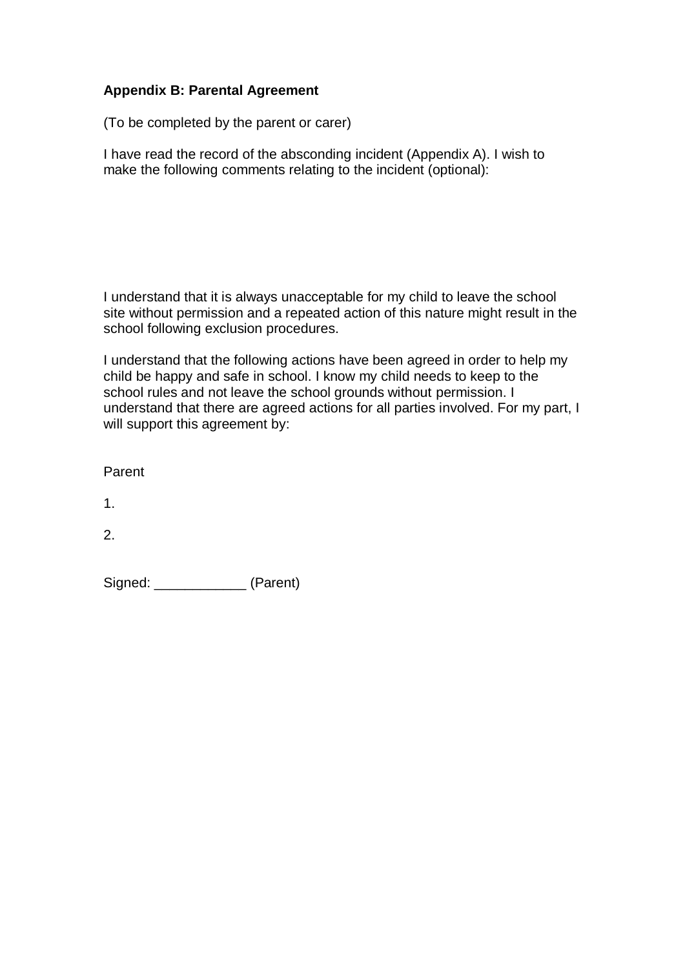# **Appendix B: Parental Agreement**

(To be completed by the parent or carer)

I have read the record of the absconding incident (Appendix A). I wish to make the following comments relating to the incident (optional):

I understand that it is always unacceptable for my child to leave the school site without permission and a repeated action of this nature might result in the school following exclusion procedures.

I understand that the following actions have been agreed in order to help my child be happy and safe in school. I know my child needs to keep to the school rules and not leave the school grounds without permission. I understand that there are agreed actions for all parties involved. For my part, I will support this agreement by:

Parent

1.

2.

Signed: (Parent)